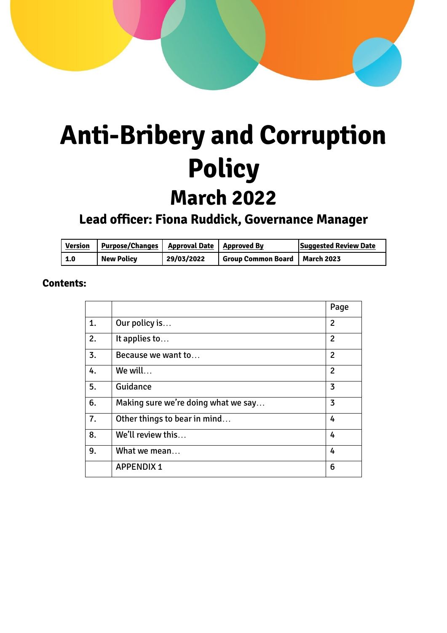# **Anti-Bribery and Corruption Policy March 2022**

# **Lead officer: Fiona Ruddick, Governance Manager**

| <b>Version</b> | <b>Purpose/Changes</b> | Approval Date | Approved By                            | <b>Suggested Review Date</b> |
|----------------|------------------------|---------------|----------------------------------------|------------------------------|
| 1.0            | <b>New Policy</b>      | 29/03/2022    | <b>Group Common Board   March 2023</b> |                              |

### **Contents:**

|    |                                     | Page           |
|----|-------------------------------------|----------------|
| 1. | Our policy is                       | 2              |
| 2. | It applies to                       |                |
| 3. | Because we want to                  | $\overline{2}$ |
| 4. | We will                             | $\overline{2}$ |
| 5. | Guidance                            | 3              |
| 6. | Making sure we're doing what we say | 3              |
| 7. | Other things to bear in mind        | 4              |
| 8. | We'll review this                   |                |
| 9. | What we mean                        | 4              |
|    | <b>APPENDIX 1</b>                   | 6              |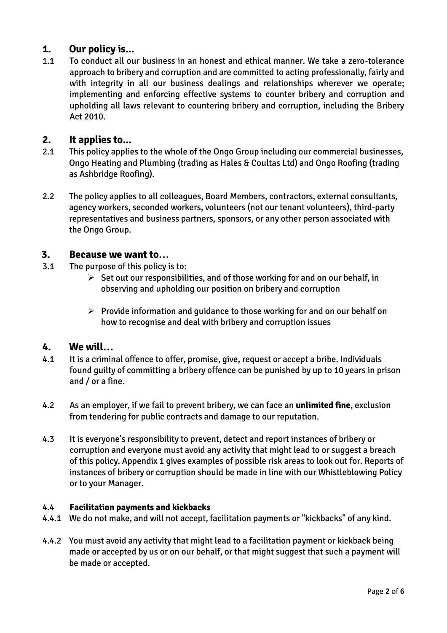#### **1. Our policy is...**

1.1 To conduct all our business in an honest and ethical manner. We take a zero-tolerance approach to bribery and corruption and are committed to acting professionally, fairly and with integrity in all our business dealings and relationships wherever we operate; implementing and enforcing effective systems to counter bribery and corruption and upholding all laws relevant to countering bribery and corruption, including the Bribery Act 2010.

#### **2. It applies to...**

- 2.1 This policy applies to the whole of the Ongo Group including our commercial businesses, Ongo Heating and Plumbing (trading as Hales & Coultas Ltd) and Ongo Roofing (trading as Ashbridge Roofing).
- 2.2 The policy applies to all colleagues, Board Members, contractors, external consultants, agency workers, seconded workers, volunteers (not our tenant volunteers), third-party representatives and business partners, sponsors, or any other person associated with the Ongo Group.

#### **3. Because we want to…**

- 3.1 The purpose of this policy is to:
	- $\triangleright$  Set out our responsibilities, and of those working for and on our behalf, in observing and upholding our position on bribery and corruption
	- $\triangleright$  Provide information and quidance to those working for and on our behalf on how to recognise and deal with bribery and corruption issues

#### **4. We will…**

- 4.1 It is a criminal offence to offer, promise, give, request or accept a bribe. Individuals found guilty of committing a bribery offence can be punished by up to 10 years in prison and / or a fine.
- 4.2 As an employer, if we fail to prevent bribery, we can face an **unlimited fine**, exclusion from tendering for public contracts and damage to our reputation.
- 4.3 It is everyone's responsibility to prevent, detect and report instances of bribery or corruption and everyone must avoid any activity that might lead to or suggest a breach of this policy. Appendix 1 gives examples of possible risk areas to look out for. Reports of instances of bribery or corruption should be made in line with our Whistleblowing Policy or to your Manager.

#### 4.4 **Facilitation payments and kickbacks**

- 4.4.1 We do not make, and will not accept, facilitation payments or "kickbacks" of any kind.
- 4.4.2 You must avoid any activity that might lead to a facilitation payment or kickback being made or accepted by us or on our behalf, or that might suggest that such a payment will be made or accepted.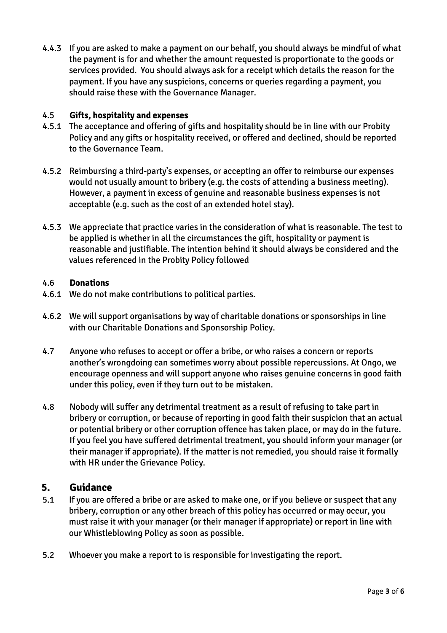4.4.3 If you are asked to make a payment on our behalf, you should always be mindful of what the payment is for and whether the amount requested is proportionate to the goods or services provided. You should always ask for a receipt which details the reason for the payment. If you have any suspicions, concerns or queries regarding a payment, you should raise these with the Governance Manager.

#### 4.5 **Gifts, hospitality and expenses**

- 4.5.1 The acceptance and offering of gifts and hospitality should be in line with our Probity Policy and any gifts or hospitality received, or offered and declined, should be reported to the Governance Team.
- 4.5.2 Reimbursing a third-party's expenses, or accepting an offer to reimburse our expenses would not usually amount to bribery (e.g. the costs of attending a business meeting). However, a payment in excess of genuine and reasonable business expenses is not acceptable (e.g. such as the cost of an extended hotel stay).
- 4.5.3 We appreciate that practice varies in the consideration of what is reasonable. The test to be applied is whether in all the circumstances the gift, hospitality or payment is reasonable and justifiable. The intention behind it should always be considered and the values referenced in the Probity Policy followed

#### 4.6 **Donations**

- 4.6.1 We do not make contributions to political parties.
- 4.6.2 We will support organisations by way of charitable donations or sponsorships in line with our Charitable Donations and Sponsorship Policy.
- 4.7 Anyone who refuses to accept or offer a bribe, or who raises a concern or reports another's wrongdoing can sometimes worry about possible repercussions. At Ongo, we encourage openness and will support anyone who raises genuine concerns in good faith under this policy, even if they turn out to be mistaken.
- 4.8 Nobody will suffer any detrimental treatment as a result of refusing to take part in bribery or corruption, or because of reporting in good faith their suspicion that an actual or potential bribery or other corruption offence has taken place, or may do in the future. If you feel you have suffered detrimental treatment, you should inform your manager (or their manager if appropriate). If the matter is not remedied, you should raise it formally with HR under the Grievance Policy.

#### **5. Guidance**

- 5.1 If you are offered a bribe or are asked to make one, or if you believe or suspect that any bribery, corruption or any other breach of this policy has occurred or may occur, you must raise it with your manager (or their manager if appropriate) or report in line with our Whistleblowing Policy as soon as possible.
- 5.2 Whoever you make a report to is responsible for investigating the report.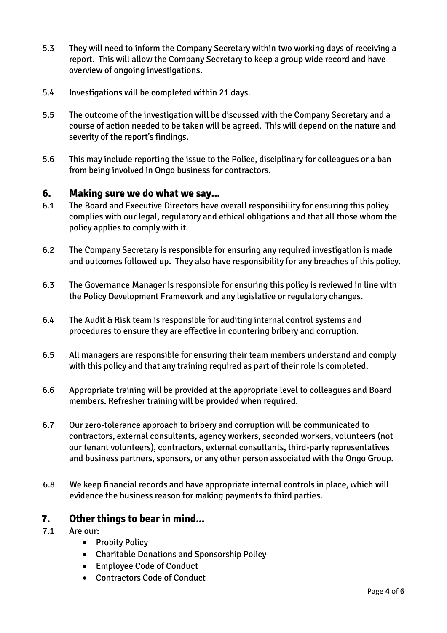- 5.3 They will need to inform the Company Secretary within two working days of receiving a report. This will allow the Company Secretary to keep a group wide record and have overview of ongoing investigations.
- 5.4 Investigations will be completed within 21 days.
- 5.5 The outcome of the investigation will be discussed with the Company Secretary and a course of action needed to be taken will be agreed. This will depend on the nature and severity of the report's findings.
- 5.6 This may include reporting the issue to the Police, disciplinary for colleagues or a ban from being involved in Ongo business for contractors.

#### **6. Making sure we do what we say...**

- 6.1 The Board and Executive Directors have overall responsibility for ensuring this policy complies with our legal, regulatory and ethical obligations and that all those whom the policy applies to comply with it.
- 6.2 The Company Secretary is responsible for ensuring any required investigation is made and outcomes followed up. They also have responsibility for any breaches of this policy.
- 6.3 The Governance Manager is responsible for ensuring this policy is reviewed in line with the Policy Development Framework and any legislative or regulatory changes.
- 6.4 The Audit & Risk team is responsible for auditing internal control systems and procedures to ensure they are effective in countering bribery and corruption.
- 6.5 All managers are responsible for ensuring their team members understand and comply with this policy and that any training required as part of their role is completed.
- 6.6 Appropriate training will be provided at the appropriate level to colleagues and Board members. Refresher training will be provided when required.
- 6.7 Our zero-tolerance approach to bribery and corruption will be communicated to contractors, external consultants, agency workers, seconded workers, volunteers (not our tenant volunteers), contractors, external consultants, third-party representatives and business partners, sponsors, or any other person associated with the Ongo Group.
- 6.8 We keep financial records and have appropriate internal controls in place, which will evidence the business reason for making payments to third parties.

#### **7. Other things to bear in mind...**

- 7.1 Are our:
	- Probity Policy
	- Charitable Donations and Sponsorship Policy
	- Employee Code of Conduct
	- Contractors Code of Conduct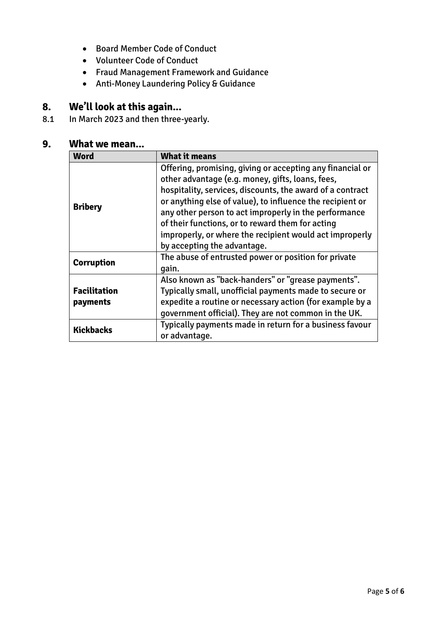- Board Member Code of Conduct
- Volunteer Code of Conduct
- Fraud Management Framework and Guidance
- Anti-Money Laundering Policy & Guidance

## **8. We'll look at this again...**

8.1 In March 2023 and then three-yearly.

### **9. What we mean...**

| Word                            | <b>What it means</b>                                                                                                                                                                                                                                                                                                                                                                                                                           |  |
|---------------------------------|------------------------------------------------------------------------------------------------------------------------------------------------------------------------------------------------------------------------------------------------------------------------------------------------------------------------------------------------------------------------------------------------------------------------------------------------|--|
| <b>Bribery</b>                  | Offering, promising, giving or accepting any financial or<br>other advantage (e.g. money, gifts, loans, fees,<br>hospitality, services, discounts, the award of a contract<br>or anything else of value), to influence the recipient or<br>any other person to act improperly in the performance<br>of their functions, or to reward them for acting<br>improperly, or where the recipient would act improperly<br>by accepting the advantage. |  |
| <b>Corruption</b>               | The abuse of entrusted power or position for private<br>gain.                                                                                                                                                                                                                                                                                                                                                                                  |  |
| <b>Facilitation</b><br>payments | Also known as "back-handers" or "grease payments".<br>Typically small, unofficial payments made to secure or<br>expedite a routine or necessary action (for example by a<br>government official). They are not common in the UK.                                                                                                                                                                                                               |  |
| <b>Kickbacks</b>                | Typically payments made in return for a business favour<br>or advantage.                                                                                                                                                                                                                                                                                                                                                                       |  |